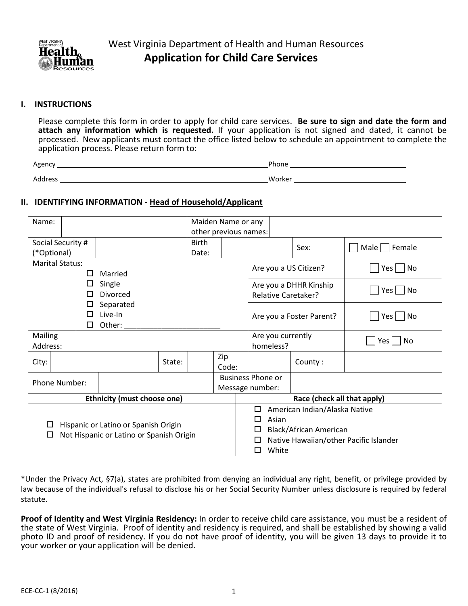

## **I. INSTRUCTIONS**

Please complete this form in order to apply for child care services. **Be sure to sign and date the form and attach any information which is requested.** If your application is not signed and dated, it cannot be processed. New applicants must contact the office listed below to schedule an appointment to complete the application process. Please return form to:

| Agency       | <sup>o</sup> hone |
|--------------|-------------------|
| Address<br>. | Worker            |

## **II. IDENTIFYING INFORMATION - Head of Household/Applicant**

| Name:                                          |                                               |   |                                      |        | Maiden Name or any    |                          |                             |           |                   |                               |                                        |  |
|------------------------------------------------|-----------------------------------------------|---|--------------------------------------|--------|-----------------------|--------------------------|-----------------------------|-----------|-------------------|-------------------------------|----------------------------------------|--|
|                                                |                                               |   |                                      |        | other previous names: |                          |                             |           |                   |                               |                                        |  |
| Social Security #                              |                                               |   |                                      |        | <b>Birth</b>          |                          |                             |           |                   | Sex:                          | Male   Female                          |  |
|                                                | (*Optional)                                   |   |                                      |        | Date:                 |                          |                             |           |                   |                               |                                        |  |
| <b>Marital Status:</b>                         |                                               | П | Married                              |        | Are you a US Citizen? |                          |                             |           |                   | $Yes \mid \text{No}$          |                                        |  |
|                                                |                                               | □ | Single                               |        |                       |                          |                             |           |                   | Are you a DHHR Kinship        |                                        |  |
| Divorced<br>П                                  |                                               |   |                                      |        |                       |                          |                             |           |                   | <b>Relative Caretaker?</b>    | $Yes \mid \text{No}$                   |  |
| Separated<br>ப<br>Live-In<br>ΙI<br>Other:<br>□ |                                               |   |                                      |        |                       | Are you a Foster Parent? |                             |           |                   | Yes     No                    |                                        |  |
| Mailing<br>Address:                            |                                               |   |                                      |        |                       |                          |                             | homeless? | Are you currently |                               | N <sub>o</sub><br>Yes                  |  |
| City:                                          |                                               |   |                                      | State: |                       | Zip<br>Code:             |                             |           |                   | County:                       |                                        |  |
|                                                |                                               |   |                                      |        |                       |                          | <b>Business Phone or</b>    |           |                   |                               |                                        |  |
| Phone Number:                                  |                                               |   |                                      |        |                       | Message number:          |                             |           |                   |                               |                                        |  |
|                                                |                                               |   | <b>Ethnicity (must choose one)</b>   |        |                       |                          |                             |           |                   | Race (check all that apply)   |                                        |  |
|                                                |                                               |   |                                      |        |                       |                          |                             | □         |                   | American Indian/Alaska Native |                                        |  |
|                                                |                                               |   |                                      |        |                       |                          |                             | П         | Asian             |                               |                                        |  |
| □                                              |                                               |   | Hispanic or Latino or Spanish Origin |        |                       |                          | Black/African American<br>П |           |                   |                               |                                        |  |
|                                                | Not Hispanic or Latino or Spanish Origin<br>ப |   |                                      |        |                       |                          |                             |           |                   |                               | Native Hawaiian/other Pacific Islander |  |
|                                                |                                               |   |                                      |        |                       |                          |                             | П         | White             |                               |                                        |  |

\*Under the Privacy Act, §7(a), states are prohibited from denying an individual any right, benefit, or privilege provided by law because of the individual's refusal to disclose his or her Social Security Number unless disclosure is required by federal statute.

**Proof of Identity and West Virginia Residency:** In order to receive child care assistance, you must be a resident of the state of West Virginia. Proof of identity and residency is required, and shall be established by showing a valid photo ID and proof of residency. If you do not have proof of identity, you will be given 13 days to provide it to your worker or your application will be denied.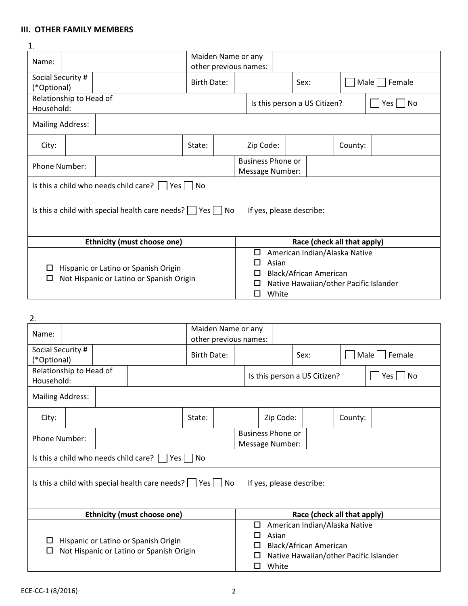# **III. OTHER FAMILY MEMBERS**

| $\mathbf{1}$ .                                                                                                              |                                                                                                                    |  |                                                                          |        |  |                                                                                                                                          |                              |                             |                    |           |  |  |
|-----------------------------------------------------------------------------------------------------------------------------|--------------------------------------------------------------------------------------------------------------------|--|--------------------------------------------------------------------------|--------|--|------------------------------------------------------------------------------------------------------------------------------------------|------------------------------|-----------------------------|--------------------|-----------|--|--|
| Name:                                                                                                                       |                                                                                                                    |  | Maiden Name or any<br>other previous names:                              |        |  |                                                                                                                                          |                              |                             |                    |           |  |  |
|                                                                                                                             | Social Security #<br>(*Optional)                                                                                   |  | Birth Date:                                                              |        |  |                                                                                                                                          | Sex:                         |                             | Male  <br>l Female |           |  |  |
|                                                                                                                             | Relationship to Head of<br>Household:                                                                              |  |                                                                          |        |  |                                                                                                                                          | Is this person a US Citizen? |                             |                    | No<br>Yes |  |  |
| <b>Mailing Address:</b>                                                                                                     |                                                                                                                    |  |                                                                          |        |  |                                                                                                                                          |                              |                             |                    |           |  |  |
| City:                                                                                                                       |                                                                                                                    |  |                                                                          | State: |  | Zip Code:                                                                                                                                |                              |                             | County:            |           |  |  |
|                                                                                                                             | <b>Phone Number:</b>                                                                                               |  |                                                                          |        |  | <b>Business Phone or</b><br>Message Number:                                                                                              |                              |                             |                    |           |  |  |
|                                                                                                                             |                                                                                                                    |  | Is this a child who needs child care? $\vert \vert$ Yes $\vert \vert$ No |        |  |                                                                                                                                          |                              |                             |                    |           |  |  |
|                                                                                                                             | Is this a child with special health care needs? $\vert$ $\vert$ Yes $\vert$ $\vert$ No<br>If yes, please describe: |  |                                                                          |        |  |                                                                                                                                          |                              |                             |                    |           |  |  |
|                                                                                                                             |                                                                                                                    |  |                                                                          |        |  |                                                                                                                                          |                              | Race (check all that apply) |                    |           |  |  |
| <b>Ethnicity (must choose one)</b><br>Hispanic or Latino or Spanish Origin<br>Not Hispanic or Latino or Spanish Origin<br>□ |                                                                                                                    |  |                                                                          |        |  | American Indian/Alaska Native<br>□<br>Asian<br>П<br>Black/African American<br>Native Hawaiian/other Pacific Islander<br>□<br>White<br>ΙI |                              |                             |                    |           |  |  |

| 2.                      |                                                                                                                        |  |                                                                          |        |                                             |      |           |                                                                                                                               |               |             |  |  |  |
|-------------------------|------------------------------------------------------------------------------------------------------------------------|--|--------------------------------------------------------------------------|--------|---------------------------------------------|------|-----------|-------------------------------------------------------------------------------------------------------------------------------|---------------|-------------|--|--|--|
| Name:                   |                                                                                                                        |  |                                                                          |        | Maiden Name or any<br>other previous names: |      |           |                                                                                                                               |               |             |  |  |  |
|                         | Social Security #<br>(*Optional)                                                                                       |  | Birth Date:                                                              |        |                                             | Sex: |           |                                                                                                                               | Male   Female |             |  |  |  |
| Household:              | Relationship to Head of                                                                                                |  |                                                                          |        |                                             |      |           | Is this person a US Citizen?                                                                                                  |               | Yes l<br>No |  |  |  |
| <b>Mailing Address:</b> |                                                                                                                        |  |                                                                          |        |                                             |      |           |                                                                                                                               |               |             |  |  |  |
| City:                   |                                                                                                                        |  |                                                                          | State: |                                             |      | Zip Code: |                                                                                                                               | County:       |             |  |  |  |
|                         | Phone Number:                                                                                                          |  |                                                                          |        | <b>Business Phone or</b><br>Message Number: |      |           |                                                                                                                               |               |             |  |  |  |
|                         |                                                                                                                        |  | Is this a child who needs child care? $\vert \vert$ Yes $\vert \vert$ No |        |                                             |      |           |                                                                                                                               |               |             |  |  |  |
|                         |                                                                                                                        |  | Is this a child with special health care needs? $\Box$ Yes $\Box$ No     |        |                                             |      |           | If yes, please describe:                                                                                                      |               |             |  |  |  |
|                         |                                                                                                                        |  |                                                                          |        |                                             |      |           | Race (check all that apply)                                                                                                   |               |             |  |  |  |
|                         | <b>Ethnicity (must choose one)</b><br>Hispanic or Latino or Spanish Origin<br>Not Hispanic or Latino or Spanish Origin |  |                                                                          |        |                                             |      |           | American Indian/Alaska Native<br>□<br>Asian<br>Black/African American<br>Native Hawaiian/other Pacific Islander<br>П<br>White |               |             |  |  |  |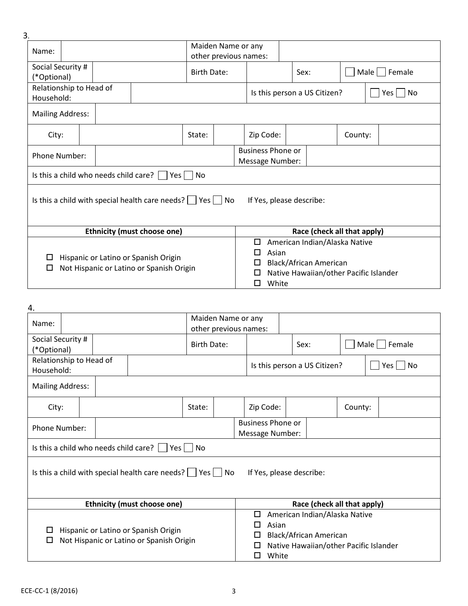| 3. |                                                                                       |  |  |                                                                      |        |                                             |                                                                                                                                               |                    |                             |           |  |  |
|----|---------------------------------------------------------------------------------------|--|--|----------------------------------------------------------------------|--------|---------------------------------------------|-----------------------------------------------------------------------------------------------------------------------------------------------|--------------------|-----------------------------|-----------|--|--|
|    | Name:                                                                                 |  |  |                                                                      |        | Maiden Name or any<br>other previous names: |                                                                                                                                               |                    |                             |           |  |  |
|    | Social Security #<br>(*Optional)                                                      |  |  | Birth Date:                                                          |        |                                             | Sex:                                                                                                                                          | Male    <br>Female |                             |           |  |  |
|    | Relationship to Head of<br>Household:                                                 |  |  |                                                                      |        |                                             | Is this person a US Citizen?                                                                                                                  |                    |                             | No<br>Yes |  |  |
|    | <b>Mailing Address:</b>                                                               |  |  |                                                                      |        |                                             |                                                                                                                                               |                    |                             |           |  |  |
|    | City:                                                                                 |  |  |                                                                      | State: |                                             | Zip Code:                                                                                                                                     | County:            |                             |           |  |  |
|    | <b>Phone Number:</b>                                                                  |  |  |                                                                      |        | <b>Business Phone or</b><br>Message Number: |                                                                                                                                               |                    |                             |           |  |  |
|    |                                                                                       |  |  | Is this a child who needs child care? $  \cdot  $<br>Yes             | No     |                                             |                                                                                                                                               |                    |                             |           |  |  |
|    |                                                                                       |  |  | Is this a child with special health care needs? $\Box$ Yes $\Box$ No |        |                                             | If Yes, please describe:                                                                                                                      |                    |                             |           |  |  |
|    |                                                                                       |  |  | <b>Ethnicity (must choose one)</b>                                   |        |                                             |                                                                                                                                               |                    | Race (check all that apply) |           |  |  |
|    | Hispanic or Latino or Spanish Origin<br>ப<br>Not Hispanic or Latino or Spanish Origin |  |  |                                                                      |        |                                             | American Indian/Alaska Native<br>□<br>Asian<br>LΙ<br>Black/African American<br>П<br>Native Hawaiian/other Pacific Islander<br>H<br>White<br>П |                    |                             |           |  |  |

| 4.                                    |                                                                                                                        |  |                                                                      |                    |                                             |                                             |                          |                                                                                                                                         |                              |               |  |             |  |
|---------------------------------------|------------------------------------------------------------------------------------------------------------------------|--|----------------------------------------------------------------------|--------------------|---------------------------------------------|---------------------------------------------|--------------------------|-----------------------------------------------------------------------------------------------------------------------------------------|------------------------------|---------------|--|-------------|--|
| Name:                                 |                                                                                                                        |  |                                                                      |                    |                                             | Maiden Name or any<br>other previous names: |                          |                                                                                                                                         |                              |               |  |             |  |
| (*Optional)                           | Social Security #                                                                                                      |  |                                                                      | <b>Birth Date:</b> |                                             |                                             |                          | Sex:                                                                                                                                    |                              | Male   Female |  |             |  |
| Household:                            | Relationship to Head of                                                                                                |  |                                                                      |                    |                                             |                                             |                          |                                                                                                                                         | Is this person a US Citizen? |               |  | No<br>Yes l |  |
| <b>Mailing Address:</b>               |                                                                                                                        |  |                                                                      |                    |                                             |                                             |                          |                                                                                                                                         |                              |               |  |             |  |
| City:                                 |                                                                                                                        |  |                                                                      | State:             |                                             |                                             | Zip Code:                |                                                                                                                                         |                              | County:       |  |             |  |
|                                       | Phone Number:                                                                                                          |  |                                                                      |                    | <b>Business Phone or</b><br>Message Number: |                                             |                          |                                                                                                                                         |                              |               |  |             |  |
| Is this a child who needs child care? |                                                                                                                        |  | Yes                                                                  | <b>No</b>          |                                             |                                             |                          |                                                                                                                                         |                              |               |  |             |  |
|                                       |                                                                                                                        |  | Is this a child with special health care needs? $\Box$ Yes $\Box$ No |                    |                                             |                                             | If Yes, please describe: |                                                                                                                                         |                              |               |  |             |  |
|                                       |                                                                                                                        |  |                                                                      |                    |                                             |                                             |                          |                                                                                                                                         | Race (check all that apply)  |               |  |             |  |
| □<br>□                                | <b>Ethnicity (must choose one)</b><br>Hispanic or Latino or Spanish Origin<br>Not Hispanic or Latino or Spanish Origin |  |                                                                      |                    |                                             |                                             |                          | American Indian/Alaska Native<br>□<br>Asian<br>П<br>Black/African American<br>□<br>Native Hawaiian/other Pacific Islander<br>White<br>П |                              |               |  |             |  |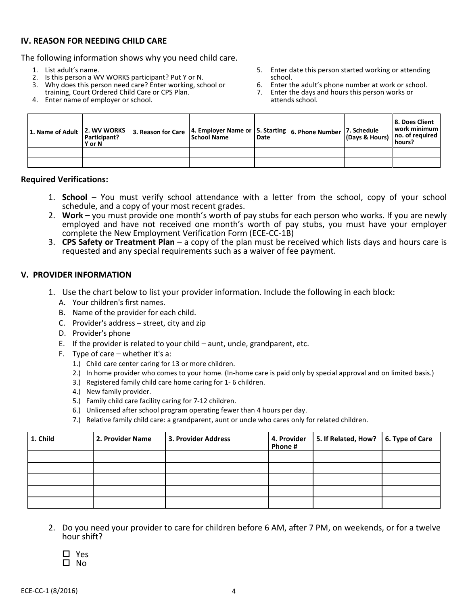# **IV. REASON FOR NEEDING CHILD CARE**

The following information shows why you need child care.

- 1. List adult's name.
- 2. Is this person a WV WORKS participant? Put Y or N.
- 3. Why does this person need care? Enter working, school or
- training, Court Ordered Child Care or CPS Plan.
- 4. Enter name of employer or school.
- 5. Enter date this person started working or attending school.
- 6. Enter the adult's phone number at work or school.<br>
7. Enter the days and hours this person works or
- Enter the days and hours this person works or attends school.

| 1. Name of Adult | 2. WV WORKS<br>Participant?<br>Y or N | 3. Reason for Care   4. Employer Name or   5. Starting   6. Phone Number   7. Schedule<br><b>School Name</b> | l Date | I (Days & Hours)   no. of required | 8. Does Client<br>work minimum l<br>hours? |
|------------------|---------------------------------------|--------------------------------------------------------------------------------------------------------------|--------|------------------------------------|--------------------------------------------|
|                  |                                       |                                                                                                              |        |                                    |                                            |
|                  |                                       |                                                                                                              |        |                                    |                                            |

#### **Required Verifications:**

- 1. **School** You must verify school attendance with a letter from the school, copy of your school schedule, and a copy of your most recent grades.
- 2. **Work** you must provide one month's worth of pay stubs for each person who works. If you are newly employed and have not received one month's worth of pay stubs, you must have your employer complete the New Employment Verification Form (ECE-CC-1B)
- 3. **CPS Safety or Treatment Plan** a copy of the plan must be received which lists days and hours care is requested and any special requirements such as a waiver of fee payment.

## **V. PROVIDER INFORMATION**

- 1. Use the chart below to list your provider information. Include the following in each block:
	- A. Your children's first names.
	- B. Name of the provider for each child.
	- C. Provider's address street, city and zip
	- D. Provider's phone
	- E. If the provider is related to your child aunt, uncle, grandparent, etc.
	- F. Type of care whether it's a:
		- 1.) Child care center caring for 13 or more children.
		- 2.) In home provider who comes to your home. (In-home care is paid only by special approval and on limited basis.)
		- 3.) Registered family child care home caring for 1- 6 children.
		- 4.) New family provider.
		- 5.) Family child care facility caring for 7-12 children.
		- 6.) Unlicensed after school program operating fewer than 4 hours per day.
		- 7.) Relative family child care: a grandparent, aunt or uncle who cares only for related children.

| 1. Child | 2. Provider Name | 3. Provider Address | 4. Provider<br>Phone# | 5. If Related, How?   6. Type of Care |  |
|----------|------------------|---------------------|-----------------------|---------------------------------------|--|
|          |                  |                     |                       |                                       |  |
|          |                  |                     |                       |                                       |  |
|          |                  |                     |                       |                                       |  |
|          |                  |                     |                       |                                       |  |
|          |                  |                     |                       |                                       |  |

2. Do you need your provider to care for children before 6 AM, after 7 PM, on weekends, or for a twelve hour shift?

| Y<br>c |
|--------|
| N<br>n |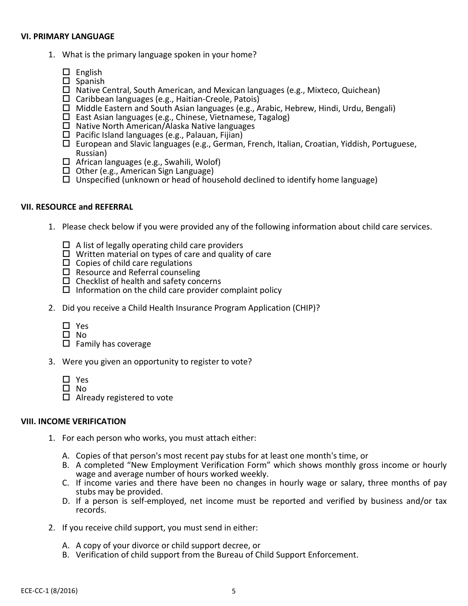#### **VI. PRIMARY LANGUAGE**

- 1. What is the primary language spoken in your home?
	- $\square$  English
	- $\square$  Spanish
	- $\Box$  Native Central, South American, and Mexican languages (e.g., Mixteco, Quichean)
	- $\Box$  Caribbean languages (e.g., Haitian-Creole, Patois)
	- $\Box$  Middle Eastern and South Asian languages (e.g., Arabic, Hebrew, Hindi, Urdu, Bengali)
	- $\square$  East Asian languages (e.g., Chinese, Vietnamese, Tagalog)
	- □ Native North American/Alaska Native languages
	- $\Box$  Pacific Island languages (e.g., Palauan, Fijian)
	- $\Box$  European and Slavic languages (e.g., German, French, Italian, Croatian, Yiddish, Portuguese, Russian)
	- $\Box$  African languages (e.g., Swahili, Wolof)
	- $\Box$  Other (e.g., American Sign Language)
	- $\Box$  Unspecified (unknown or head of household declined to identify home language)

## **VII. RESOURCE and REFERRAL**

- 1. Please check below if you were provided any of the following information about child care services.
	- $\Box$  A list of legally operating child care providers
	- $\Box$  Written material on types of care and quality of care
	- $\Box$  Copies of child care regulations
	- $\Box$  Resource and Referral counseling
	- $\Box$  Checklist of health and safety concerns
	- $\Box$  Information on the child care provider complaint policy
- 2. Did you receive a Child Health Insurance Program Application (CHIP)?
	- □ Yes
	- $\Box$  No
	- $\Box$  Family has coverage
- 3. Were you given an opportunity to register to vote?
	- □ Yes
	- $\square$  No
	- $\Box$  Already registered to vote

## **VIII. INCOME VERIFICATION**

- 1. For each person who works, you must attach either:
	- A. Copies of that person's most recent pay stubs for at least one month's time, or
	- B. A completed "New Employment Verification Form" which shows monthly gross income or hourly wage and average number of hours worked weekly.
	- C. If income varies and there have been no changes in hourly wage or salary, three months of pay stubs may be provided.
	- D. If a person is self-employed, net income must be reported and verified by business and/or tax records.
- 2. If you receive child support, you must send in either:
	- A. A copy of your divorce or child support decree, or
	- B. Verification of child support from the Bureau of Child Support Enforcement.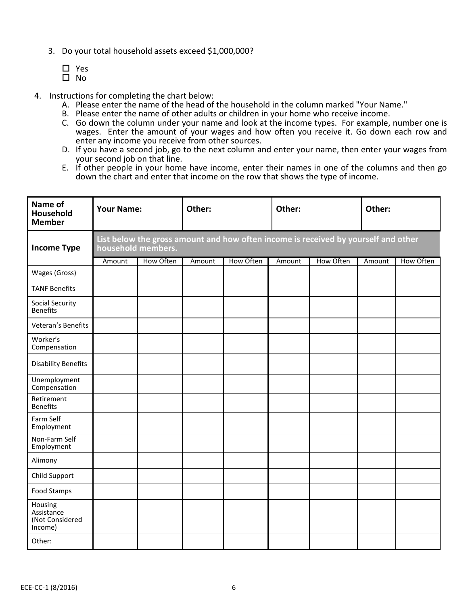- 3. Do your total household assets exceed \$1,000,000?
	- Yes  $\square$  No
- 4. Instructions for completing the chart below:
	- A. Please enter the name of the head of the household in the column marked "Your Name."
	- B. Please enter the name of other adults or children in your home who receive income.
	- C. Go down the column under your name and look at the income types. For example, number one is wages. Enter the amount of your wages and how often you receive it. Go down each row and enter any income you receive from other sources.
	- D. If you have a second job, go to the next column and enter your name, then enter your wages from your second job on that line.
	- E. If other people in your home have income, enter their names in one of the columns and then go down the chart and enter that income on the row that shows the type of income.

| Name of<br>Household<br><b>Member</b>               | <b>Your Name:</b> |                                                                                                          | Other: |           | Other: |           | Other: |           |  |  |  |  |  |
|-----------------------------------------------------|-------------------|----------------------------------------------------------------------------------------------------------|--------|-----------|--------|-----------|--------|-----------|--|--|--|--|--|
| <b>Income Type</b>                                  |                   | List below the gross amount and how often income is received by yourself and other<br>household members. |        |           |        |           |        |           |  |  |  |  |  |
|                                                     | Amount            | How Often                                                                                                | Amount | How Often | Amount | How Often | Amount | How Often |  |  |  |  |  |
| Wages (Gross)                                       |                   |                                                                                                          |        |           |        |           |        |           |  |  |  |  |  |
| <b>TANF Benefits</b>                                |                   |                                                                                                          |        |           |        |           |        |           |  |  |  |  |  |
| Social Security<br><b>Benefits</b>                  |                   |                                                                                                          |        |           |        |           |        |           |  |  |  |  |  |
| Veteran's Benefits                                  |                   |                                                                                                          |        |           |        |           |        |           |  |  |  |  |  |
| Worker's<br>Compensation                            |                   |                                                                                                          |        |           |        |           |        |           |  |  |  |  |  |
| <b>Disability Benefits</b>                          |                   |                                                                                                          |        |           |        |           |        |           |  |  |  |  |  |
| Unemployment<br>Compensation                        |                   |                                                                                                          |        |           |        |           |        |           |  |  |  |  |  |
| Retirement<br><b>Benefits</b>                       |                   |                                                                                                          |        |           |        |           |        |           |  |  |  |  |  |
| Farm Self<br>Employment                             |                   |                                                                                                          |        |           |        |           |        |           |  |  |  |  |  |
| Non-Farm Self<br>Employment                         |                   |                                                                                                          |        |           |        |           |        |           |  |  |  |  |  |
| Alimony                                             |                   |                                                                                                          |        |           |        |           |        |           |  |  |  |  |  |
| Child Support                                       |                   |                                                                                                          |        |           |        |           |        |           |  |  |  |  |  |
| Food Stamps                                         |                   |                                                                                                          |        |           |        |           |        |           |  |  |  |  |  |
| Housing<br>Assistance<br>(Not Considered<br>Income) |                   |                                                                                                          |        |           |        |           |        |           |  |  |  |  |  |
| Other:                                              |                   |                                                                                                          |        |           |        |           |        |           |  |  |  |  |  |